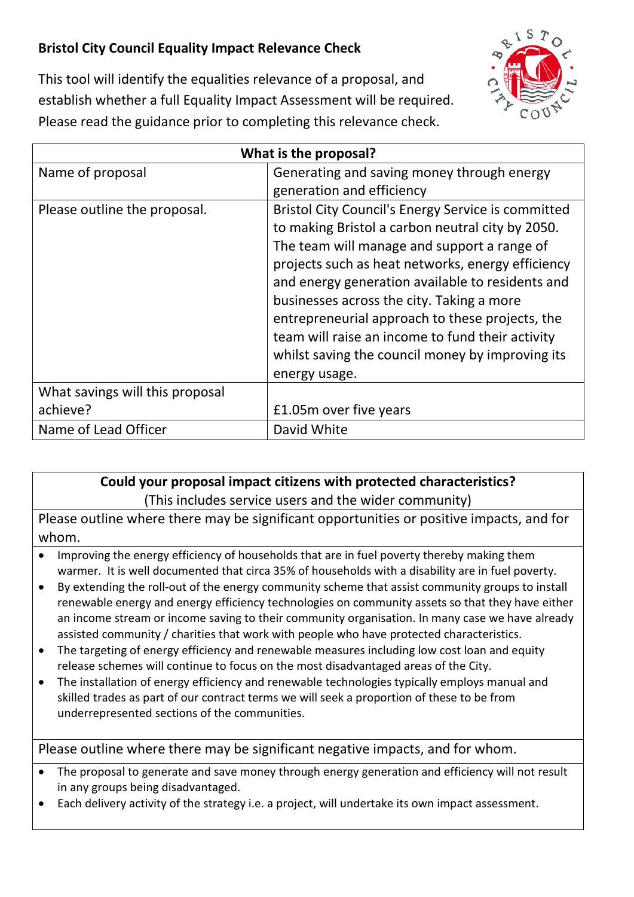## **Bristol City Council Equality Impact Relevance Check**



This tool will identify the equalities relevance of a proposal, and establish whether a full Equality Impact Assessment will be required. Please read the guidance prior to completing this relevance check.

| What is the proposal?           |                                                    |
|---------------------------------|----------------------------------------------------|
| Name of proposal                | Generating and saving money through energy         |
|                                 | generation and efficiency                          |
| Please outline the proposal.    | Bristol City Council's Energy Service is committed |
|                                 | to making Bristol a carbon neutral city by 2050.   |
|                                 | The team will manage and support a range of        |
|                                 | projects such as heat networks, energy efficiency  |
|                                 | and energy generation available to residents and   |
|                                 | businesses across the city. Taking a more          |
|                                 | entrepreneurial approach to these projects, the    |
|                                 | team will raise an income to fund their activity   |
|                                 | whilst saving the council money by improving its   |
|                                 | energy usage.                                      |
| What savings will this proposal |                                                    |
| achieve?                        | £1.05m over five years                             |
| Name of Lead Officer            | David White                                        |

## **Could your proposal impact citizens with protected characteristics?**

(This includes service users and the wider community)

Please outline where there may be significant opportunities or positive impacts, and for whom.

- Improving the energy efficiency of households that are in fuel poverty thereby making them warmer. It is well documented that circa 35% of households with a disability are in fuel poverty.
- By extending the roll-out of the energy community scheme that assist community groups to install renewable energy and energy efficiency technologies on community assets so that they have either an income stream or income saving to their community organisation. In many case we have already assisted community / charities that work with people who have protected characteristics.
- The targeting of energy efficiency and renewable measures including low cost loan and equity release schemes will continue to focus on the most disadvantaged areas of the City.
- The installation of energy efficiency and renewable technologies typically employs manual and skilled trades as part of our contract terms we will seek a proportion of these to be from underrepresented sections of the communities.

Please outline where there may be significant negative impacts, and for whom.

- The proposal to generate and save money through energy generation and efficiency will not result in any groups being disadvantaged.
- Each delivery activity of the strategy i.e. a project, will undertake its own impact assessment.